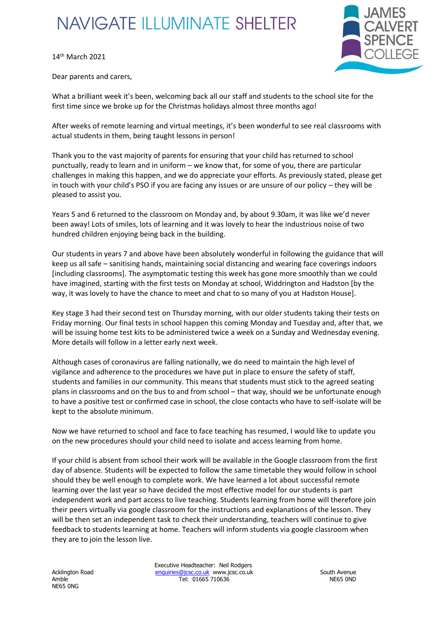## **NAVIGATE ILLUMINATE SHELTER**

14 th March 2021



Dear parents and carers,

What a brilliant week it's been, welcoming back all our staff and students to the school site for the first time since we broke up for the Christmas holidays almost three months ago!

After weeks of remote learning and virtual meetings, it's been wonderful to see real classrooms with actual students in them, being taught lessons in person!

Thank you to the vast majority of parents for ensuring that your child has returned to school punctually, ready to learn and in uniform – we know that, for some of you, there are particular challenges in making this happen, and we do appreciate your efforts. As previously stated, please get in touch with your child's PSO if you are facing any issues or are unsure of our policy – they will be pleased to assist you.

Years 5 and 6 returned to the classroom on Monday and, by about 9.30am, it was like we'd never been away! Lots of smiles, lots of learning and it was lovely to hear the industrious noise of two hundred children enjoying being back in the building.

Our students in years 7 and above have been absolutely wonderful in following the guidance that will keep us all safe – sanitising hands, maintaining social distancing and wearing face coverings indoors [including classrooms]. The asymptomatic testing this week has gone more smoothly than we could have imagined, starting with the first tests on Monday at school, Widdrington and Hadston [by the way, it was lovely to have the chance to meet and chat to so many of you at Hadston House].

Key stage 3 had their second test on Thursday morning, with our older students taking their tests on Friday morning. Our final tests in school happen this coming Monday and Tuesday and, after that, we will be issuing home test kits to be administered twice a week on a Sunday and Wednesday evening. More details will follow in a letter early next week.

Although cases of coronavirus are falling nationally, we do need to maintain the high level of vigilance and adherence to the procedures we have put in place to ensure the safety of staff, students and families in our community. This means that students must stick to the agreed seating plans in classrooms and on the bus to and from school – that way, should we be unfortunate enough to have a positive test or confirmed case in school, the close contacts who have to self-isolate will be kept to the absolute minimum.

Now we have returned to school and face to face teaching has resumed, I would like to update you on the new procedures should your child need to isolate and access learning from home.

If your child is absent from school their work will be available in the Google classroom from the first day of absence. Students will be expected to follow the same timetable they would follow in school should they be well enough to complete work. We have learned a lot about successful remote learning over the last year so have decided the most effective model for our students is part independent work and part access to live teaching. Students learning from home will therefore join their peers virtually via google classroom for the instructions and explanations of the lesson. They will be then set an independent task to check their understanding, teachers will continue to give feedback to students learning at home. Teachers will inform students via google classroom when they are to join the lesson live.

 Executive Headteacher: Neil Rodgers Acklington Road [enquiries@jcsc.co.uk](mailto:enquiries@jcsc.co.uk) www.jcsc.co.uk South Avenue Amble Tel: 01665 710636 NE65 0ND